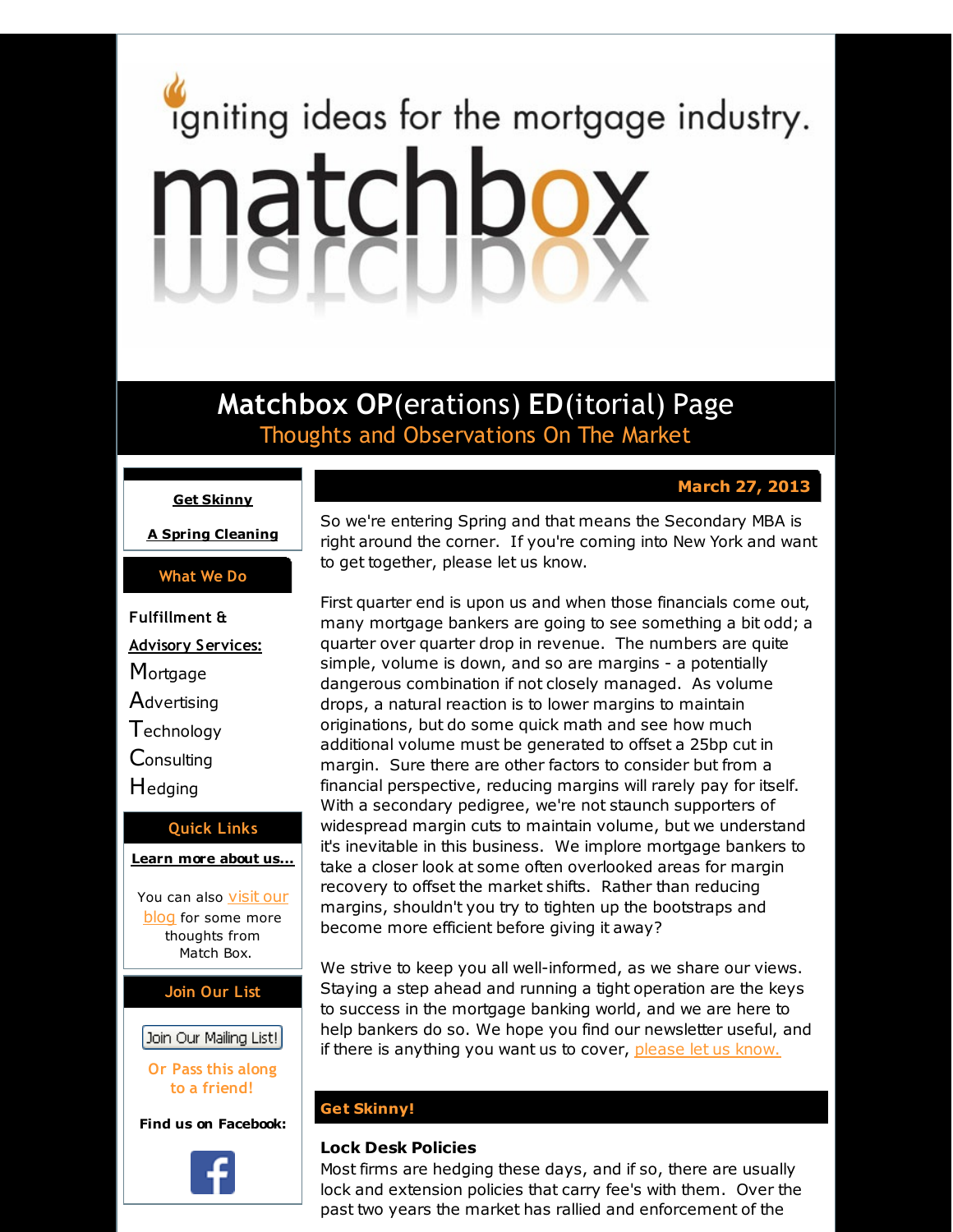# <span id="page-0-0"></span>igniting ideas for the mortgage industry. matchbox

**Matchbox OP**(erations) **ED**(itorial) Page Thoughts and Observations On The Market

# **March 27, 2013**

## **Get [Skinny](#page-0-0)**

**A Spring [Cleaning](#page-0-0)**

## **What We Do**

**Fulfillment & Advisory Services: Mortgage Advertising Technology Consulting** Hedging **Quick Links**

## **[Learn](http://r20.rs6.net/tn.jsp?f=0018qJS8PDpPbjKyoXBc8ZVYfv6TI2RO9QCIvl1R9srk2WmuQHcqWO1tDAm7IaHY_tDki0bBrgeoTd07JMHYD9pLSCvCuvSbfzhkX2QvwmvyaLwDRMgB5YtTGYvPHsUOQPF1SBTJFO6QT5Xap3wzLY7Kro99k9eFoF_it_IuZdNrIFw93D-iWOzOw==&c=&ch=) more about u[s...](http://r20.rs6.net/tn.jsp?f=0018qJS8PDpPbjKyoXBc8ZVYfv6TI2RO9QCIvl1R9srk2WmuQHcqWO1tDAm7IaHY_tDki0bBrgeoTd07JMHYD9pLSCvCuvSbfzhkX2QvwmvyaLwDRMgB5YtTGYvPHsUOQPF1SBTJFO6QT5Xap3wzLY7Kro99k9eFoF_it_IuZdNrIFw93D-iWOzOw==&c=&ch=)**

You can also [visit](http://r20.rs6.net/tn.jsp?f=0018qJS8PDpPbjKyoXBc8ZVYfv6TI2RO9QCIvl1R9srk2WmuQHcqWO1tNdWLj8oeOrPfCokXgRGhbrVQele6WMdmvNr3TKDLw_BL1LVM9aJGUfMtJTsfA0bxqsPgQkRt0S-Jfhd529Gq5teZypRVu7o3IjRV8fmHXykVfTvxS2dNL50jTsFF7kEGWDygJCR_jhC&c=&ch=) our blog for some more thoughts from Match Box.

## **Join Our List**

# Join Our Mailing List!

**Or Pass this along to a friend!**

**Find us on Facebook:**



So we're entering Spring and that means the Secondary MBA is right around the corner. If you're coming into New York and want to get together, please let us know.

First quarter end is upon us and when those financials come out, many mortgage bankers are going to see something a bit odd; a quarter over quarter drop in revenue. The numbers are quite simple, volume is down, and so are margins - a potentially dangerous combination if not closely managed. As volume drops, a natural reaction is to lower margins to maintain originations, but do some quick math and see how much additional volume must be generated to offset a 25bp cut in margin. Sure there are other factors to consider but from a financial perspective, reducing margins will rarely pay for itself. With a secondary pedigree, we're not staunch supporters of widespread margin cuts to maintain volume, but we understand it's inevitable in this business. We implore mortgage bankers to take a closer look at some often overlooked areas for margin recovery to offset the market shifts. Rather than reducing margins, shouldn't you try to tighten up the bootstraps and become more efficient before giving it away?

We strive to keep you all well-informed, as we share our views. Staying a step ahead and running a tight operation are the keys to success in the mortgage banking world, and we are here to help bankers do so. We hope you find our newsletter useful, and if there is anything you want us to cover, [please](http://r20.rs6.net/tn.jsp?f=0018qJS8PDpPbjKyoXBc8ZVYfv6TI2RO9QCIvl1R9srk2WmuQHcqWO1tNdWLj8oeOrPnYj0dHal_M9JFZWUFPhU6iX-hP_45PlzpF8gD1AiP-3mpBNhdL7SbH7XLMMrOVakv8zlqwAWciMPe_fOWsFoBYTGTUo74O_qcOX8oaAZls2M5nXMbMYwqdde-PgR7c_S&c=&ch=) let us know.

## **Get Skinny!**

# **Lock Desk Policies**

Most firms are hedging these days, and if so, there are usually lock and extension policies that carry fee's with them. Over the past two years the market has rallied and enforcement of the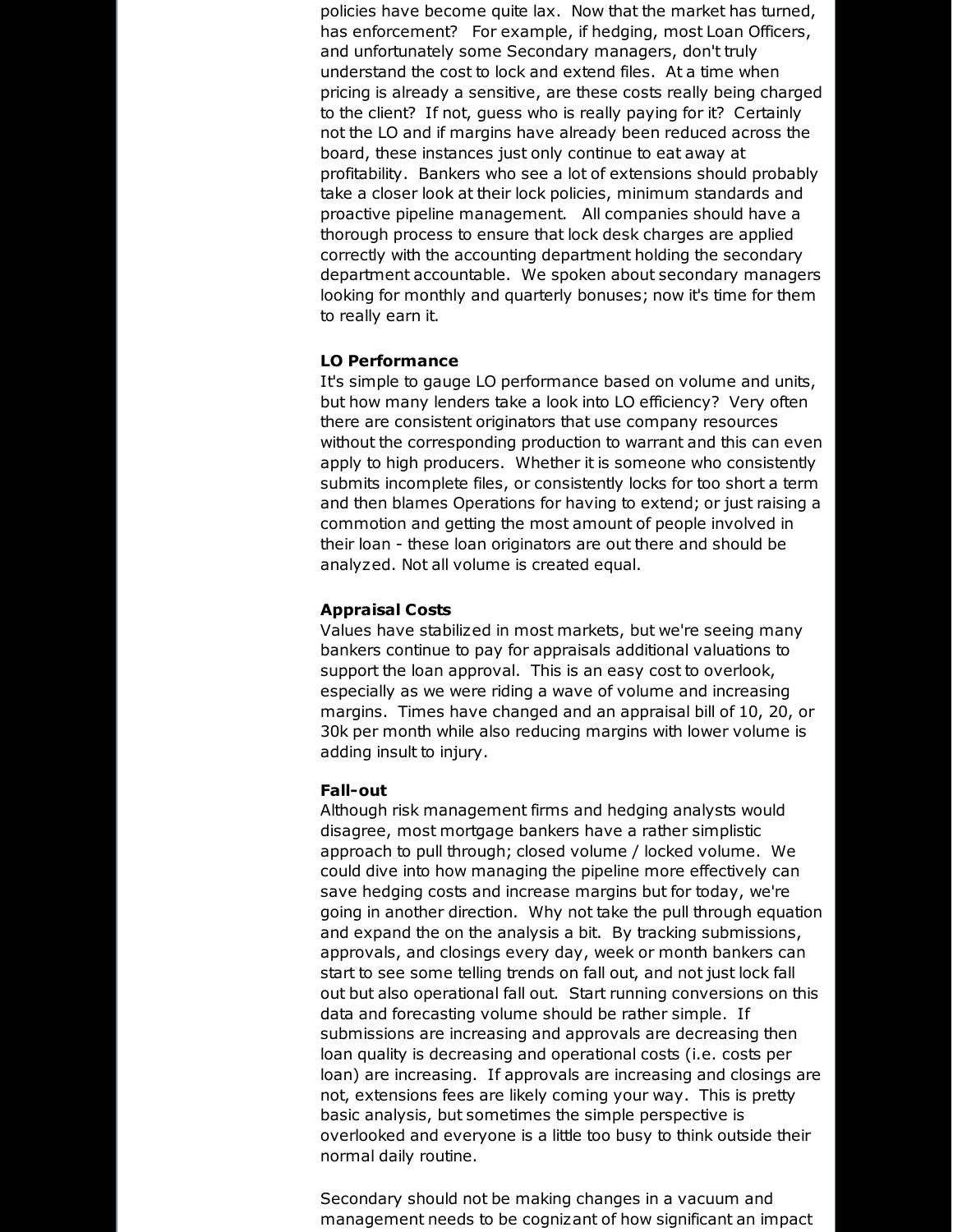policies have become quite lax. Now that the market has turned, has enforcement? For example, if hedging, most Loan Officers, and unfortunately some Secondary managers, don't truly understand the cost to lock and extend files. At a time when pricing is already a sensitive, are these costs really being charged to the client? If not, guess who is really paying for it? Certainly not the LO and if margins have already been reduced across the board, these instances just only continue to eat away at profitability. Bankers who see a lot of extensions should probably take a closer look at their lock policies, minimum standards and proactive pipeline management. All companies should have a thorough process to ensure that lock desk charges are applied correctly with the accounting department holding the secondary department accountable. We spoken about secondary managers looking for monthly and quarterly bonuses; now it's time for them to really earn it.

## **LO Performance**

It's simple to gauge LO performance based on volume and units, but how many lenders take a look into LO efficiency? Very often there are consistent originators that use company resources without the corresponding production to warrant and this can even apply to high producers. Whether it is someone who consistently submits incomplete files, or consistently locks for too short a term and then blames Operations for having to extend; or just raising a commotion and getting the most amount of people involved in their loan - these loan originators are out there and should be analyzed. Not all volume is created equal.

#### **Appraisal Costs**

Values have stabilized in most markets, but we're seeing many bankers continue to pay for appraisals additional valuations to support the loan approval. This is an easy cost to overlook, especially as we were riding a wave of volume and increasing margins. Times have changed and an appraisal bill of 10, 20, or 30k per month while also reducing margins with lower volume is adding insult to injury.

### **Fall-out**

Although risk management firms and hedging analysts would disagree, most mortgage bankers have a rather simplistic approach to pull through; closed volume / locked volume. We could dive into how managing the pipeline more effectively can save hedging costs and increase margins but for today, we're going in another direction. Why not take the pull through equation and expand the on the analysis a bit. By tracking submissions, approvals, and closings every day, week or month bankers can start to see some telling trends on fall out, and not just lock fall out but also operational fall out. Start running conversions on this data and forecasting volume should be rather simple. If submissions are increasing and approvals are decreasing then loan quality is decreasing and operational costs (i.e. costs per loan) are increasing. If approvals are increasing and closings are not, extensions fees are likely coming your way. This is pretty basic analysis, but sometimes the simple perspective is overlooked and everyone is a little too busy to think outside their normal daily routine.

Secondary should not be making changes in a vacuum and management needs to be cognizant of how significant an impact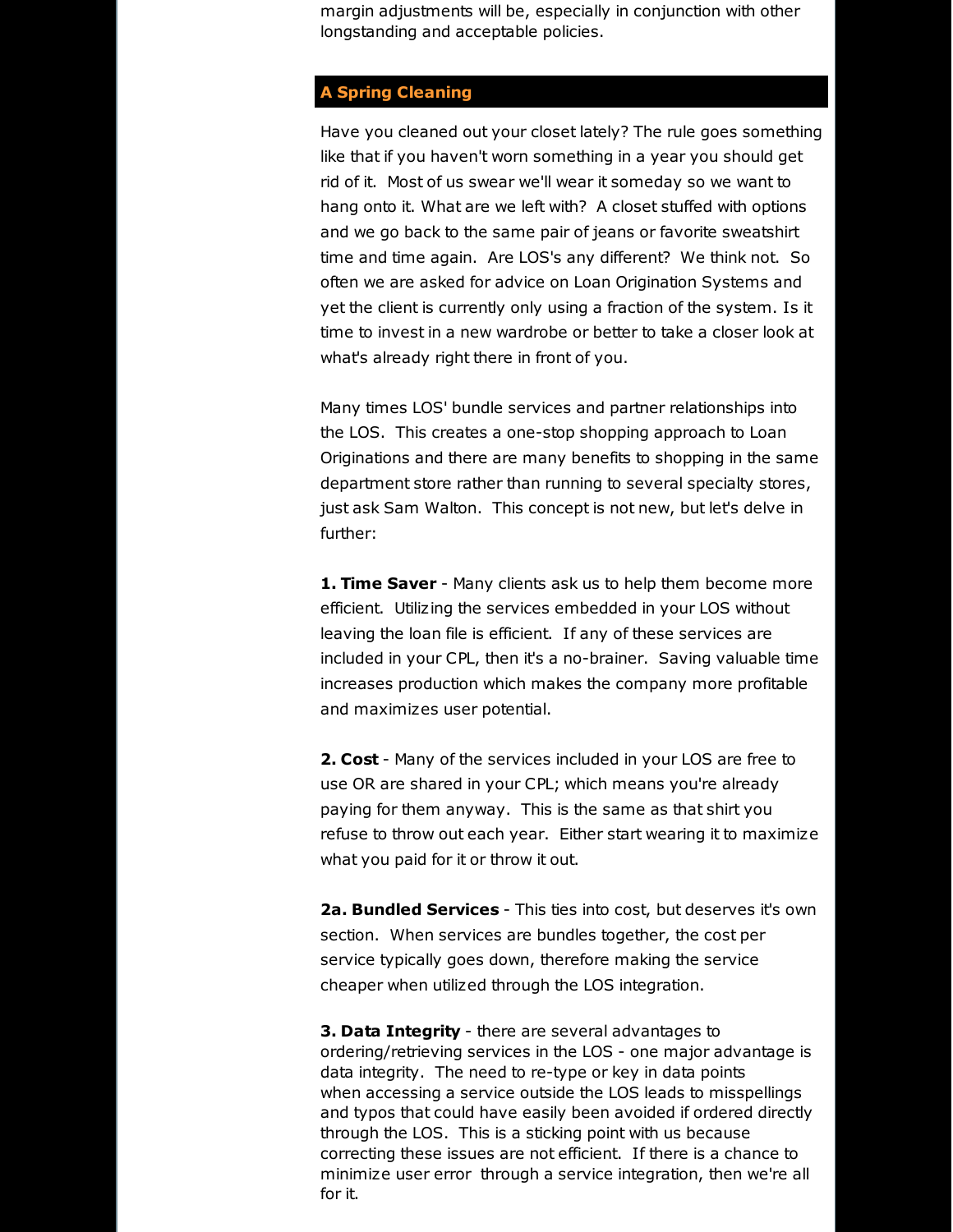margin adjustments will be, especially in conjunction with other longstanding and acceptable policies.

# **A Spring Cleaning**

Have you cleaned out your closet lately? The rule goes something like that if you haven't worn something in a year you should get rid of it. Most of us swear we'll wear it someday so we want to hang onto it. What are we left with? A closet stuffed with options and we go back to the same pair of jeans or favorite sweatshirt time and time again. Are LOS's any different? We think not. So often we are asked for advice on Loan Origination Systems and yet the client is currently only using a fraction of the system. Is it time to invest in a new wardrobe or better to take a closer look at what's already right there in front of you.

Many times LOS' bundle services and partner relationships into the LOS. This creates a one-stop shopping approach to Loan Originations and there are many benefits to shopping in the same department store rather than running to several specialty stores, just ask Sam Walton. This concept is not new, but let's delve in further:

**1. Time Saver** - Many clients ask us to help them become more efficient. Utilizing the services embedded in your LOS without leaving the loan file is efficient. If any of these services are included in your CPL, then it's a no-brainer. Saving valuable time increases production which makes the company more profitable and maximizes user potential.

**2. Cost** - Many of the services included in your LOS are free to use OR are shared in your CPL; which means you're already paying for them anyway. This is the same as that shirt you refuse to throw out each year. Either start wearing it to maximize what you paid for it or throw it out.

**2a. Bundled Services** - This ties into cost, but deserves it's own section. When services are bundles together, the cost per service typically goes down, therefore making the service cheaper when utilized through the LOS integration.

**3. Data Integrity** - there are several advantages to ordering/retrieving services in the LOS - one major advantage is data integrity. The need to re-type or key in data points when accessing a service outside the LOS leads to misspellings and typos that could have easily been avoided if ordered directly through the LOS. This is a sticking point with us because correcting these issues are not efficient. If there is a chance to minimize user error through a service integration, then we're all for it.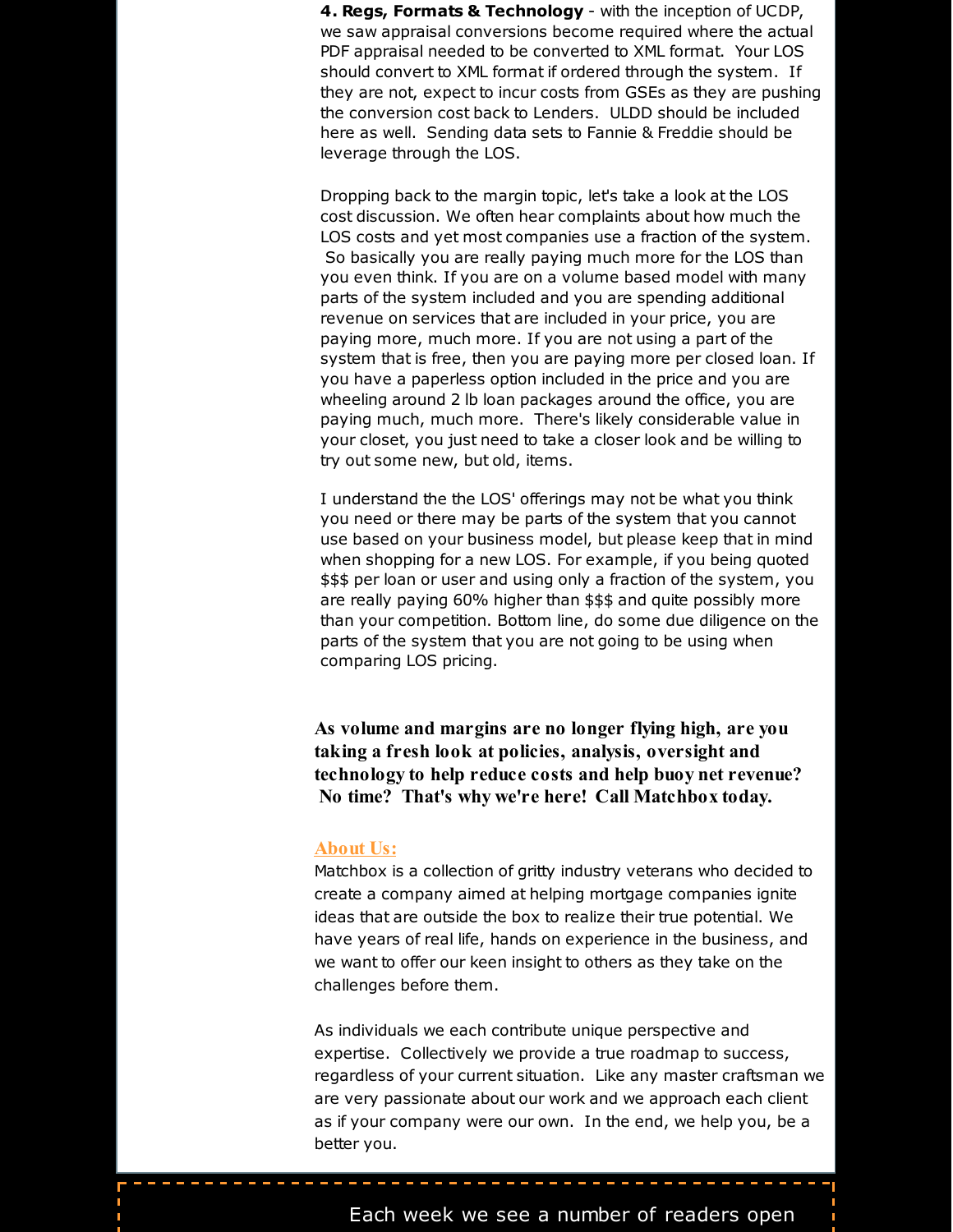**4. Regs, Formats & Technology** - with the inception of UCDP, we saw appraisal conversions become required where the actual PDF appraisal needed to be converted to XML format. Your LOS should convert to XML format if ordered through the system. If they are not, expect to incur costs from GSEs as they are pushing the conversion cost back to Lenders. ULDD should be included here as well. Sending data sets to Fannie & Freddie should be leverage through the LOS.

Dropping back to the margin topic, let's take a look at the LOS cost discussion. We often hear complaints about how much the LOS costs and yet most companies use a fraction of the system. So basically you are really paying much more for the LOS than you even think. If you are on a volume based model with many parts of the system included and you are spending additional revenue on services that are included in your price, you are paying more, much more. If you are not using a part of the system that is free, then you are paying more per closed loan. If you have a paperless option included in the price and you are wheeling around 2 lb loan packages around the office, you are paying much, much more. There's likely considerable value in your closet, you just need to take a closer look and be willing to try out some new, but old, items.

I understand the the LOS' offerings may not be what you think you need or there may be parts of the system that you cannot use based on your business model, but please keep that in mind when shopping for a new LOS. For example, if you being quoted \$\$\$ per loan or user and using only a fraction of the system, you are really paying 60% higher than \$\$\$ and quite possibly more than your competition. Bottom line, do some due diligence on the parts of the system that you are not going to be using when comparing LOS pricing.

**As volume and margins are no longer flying high, are you taking a fresh look at policies, analysis, oversight and technology to help reduce costs and help buoy net revenue? No time? That's why we're here! Call Matchbox today.**

## **About Us:**

Matchbox is a collection of gritty industry veterans who decided to create a company aimed at helping mortgage companies ignite ideas that are outside the box to realize their true potential. We have years of real life, hands on experience in the business, and we want to offer our keen insight to others as they take on the challenges before them.

As individuals we each contribute unique perspective and expertise. Collectively we provide a true roadmap to success, regardless of your current situation. Like any master craftsman we are very passionate about our work and we approach each client as if your company were our own. In the end, we help you, be a better you.